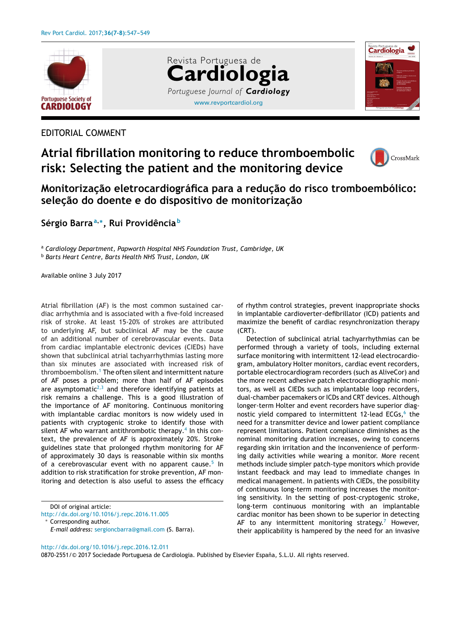

EDITORIAL COMMENT

## **Atrial fibrillation monitoring to reduce thromboembolic risk: Selecting the patient and the monitoring device**





## **Monitorizac¸ão eletrocardiográfica para a reduc¸ão do risco tromboembólico: selec¸ão do doente e do dispositivo de monitorizac¸ão**

[www.revportcardiol.org](http://www.revportcardiol.org)

*Portuguese Journal of Cardiology*

**Cardiologia**

Revista Portuguesa de

**Sérgio Barra<sup>a</sup>,∗, Rui Providência <sup>b</sup>**

<sup>a</sup> *Cardiology Department, Papworth Hospital NHS Foundation Trust, Cambridge, UK* <sup>b</sup> *Barts Heart Centre, Barts Health NHS Trust, London, UK*

Available online 3 July 2017

Atrial fibrillation (AF) is the most common sustained cardiac arrhythmia and is associated with a five-fold increased risk of stroke. At least 15-20% of strokes are attributed to underlying AF, but subclinical AF may be the cause of an additional number of cerebrovascular events. Data from cardiac implantable electronic devices (CIEDs) have shown that subclinical atrial tachyarrhythmias lasting more than six minutes are associated with increased risk of thromboembolism.<sup>1</sup> [T](#page-1-0)he often silent and intermittent nature of AF poses a problem; more than half of AF episodes are asymptomatic<sup>[2,3](#page-2-0)</sup> and therefore identifying patients at risk remains a challenge. This is a good illustration of the importance of AF monitoring. Continuous monitoring with implantable cardiac monitors is now widely used in patients with cryptogenic stroke to identify those with silent AF who warrant antithrombotic therapy.<sup>[4](#page-2-0)</sup> In this context, the prevalence of AF is approximately 20%. Stroke guidelines state that prolonged rhythm monitoring for AF of approximately 30 days is reasonable within six months of a cerebrovascular event with no apparent cause.<sup>[5](#page-2-0)</sup> In addition to risk stratification for stroke prevention, AF monitoring and detection is also useful to assess the efficacy

DOI of original article:

Corresponding author. *E-mail address:* [sergioncbarra@gmail.com](mailto:sergioncbarra@gmail.com) (S. Barra). of rhythm control strategies, prevent inappropriate shocks in implantable cardioverter-defibrillator (ICD) patients and maximize the benefit of cardiac resynchronization therapy (CRT).

Detection of subclinical atrial tachyarrhythmias can be performed through a variety of tools, including external surface monitoring with intermittent 12-lead electrocardiogram, ambulatory Holter monitors, cardiac event recorders, portable electrocardiogram recorders (such as AliveCor) and the more recent adhesive patch electrocardiographic monitors, as well as CIEDs such as implantable loop recorders, dual-chamber pacemakers or ICDs and CRT devices. Although longer-term Holter and event recorders have superior diagnostic yield compared to intermittent 12-lead ECGs, $<sup>6</sup>$  $<sup>6</sup>$  $<sup>6</sup>$  the</sup> need for a transmitter device and lower patient compliance represent limitations. Patient compliance diminishes as the nominal monitoring duration increases, owing to concerns regarding skin irritation and the inconvenience of performing daily activities while wearing a monitor. More recent methods include simpler patch-type monitors which provide instant feedback and may lead to immediate changes in medical management. In patients with CIEDs, the possibility of continuous long-term monitoring increases the monitoring sensitivity. In the setting of post-cryptogenic stroke, long-term continuous monitoring with an implantable cardiac monitor has been shown to be superior in detecting AF to any intermittent monitoring strategy.<sup>[7](#page-2-0)</sup> However, their applicability is hampered by the need for an invasive

[http://dx.doi.org/10.1016/j.repc.2016.12.011](dx.doi.org/10.1016/j.repc.2016.12.011)

0870-2551/© 2017 Sociedade Portuguesa de Cardiologia. Published by Elsevier España, S.L.U. All rights reserved.

<http://dx.doi.org/10.1016/j.repc.2016.11.005>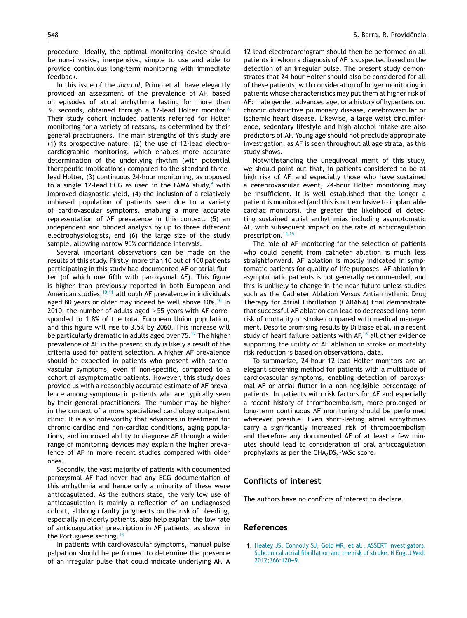<span id="page-1-0"></span>procedure. Ideally, the optimal monitoring device should be non-invasive, inexpensive, simple to use and able to provide continuous long-term monitoring with immediate feedback.

In this issue of the *Journal*, Primo et al. have elegantly provided an assessment of the prevalence of AF, based on episodes of atrial arrhythmia lasting for more than 30 seconds, obtained through a 12-lead Holter monitor. $8$ Their study cohort included patients referred for Holter monitoring for a variety of reasons, as determined by their general practitioners. The main strengths of this study are (1) its prospective nature, (2) the use of 12-lead electrocardiographic monitoring, which enables more accurate determination of the underlying rhythm (with potential therapeutic implications) compared to the standard threelead Holter, (3) continuous 24-hour monitoring, as opposed to a single 12-lead ECG as used in the FAMA study, $9$  with improved diagnostic yield, (4) the inclusion of a relatively unbiased population of patients seen due to a variety of cardiovascular symptoms, enabling a more accurate representation of AF prevalence in this context, (5) an independent and blinded analysis by up to three different electrophysiologists, and (6) the large size of the study sample, allowing narrow 95% confidence intervals.

Several important observations can be made on the results of this study. Firstly, more than 10 out of 100 patients participating in this study had documented AF or atrial flutter (of which one fifth with paroxysmal AF). This figure is higher than previously reported in both European and American studies,  $10,11$  although AF prevalence in individuals aged 80 years or older may indeed be well above [10](#page-2-0)%.<sup>10</sup> In 2010, the number of adults aged ≥55 years with AF corresponded to 1.8% of the total European Union population, and this figure will rise to 3.5% by 2060. This increase will be particularly dramatic in adults aged over 75.<sup>[12](#page-2-0)</sup> The higher prevalence of AF in the present study is likely a result of the criteria used for patient selection. A higher AF prevalence should be expected in patients who present with cardiovascular symptoms, even if non-specific, compared to a cohort of asymptomatic patients. However, this study does provide us with a reasonably accurate estimate of AF prevalence among symptomatic patients who are typically seen by their general practitioners. The number may be higher in the context of a more specialized cardiology outpatient clinic. It is also noteworthy that advances in treatment for chronic cardiac and non-cardiac conditions, aging populations, and improved ability to diagnose AF through a wider range of monitoring devices may explain the higher prevalence of AF in more recent studies compared with older ones.

Secondly, the vast majority of patients with documented paroxysmal AF had never had any ECG documentation of this arrhythmia and hence only a minority of these were anticoagulated. As the authors state, the very low use of anticoagulation is mainly a reflection of an undiagnosed cohort, although faulty judgments on the risk of bleeding, especially in elderly patients, also help explain the low rate of anticoagulation prescription in AF patients, as shown in the Portuguese setting.  $13$ 

In patients with cardiovascular symptoms, manual pulse palpation should be performed to determine the presence of an irregular pulse that could indicate underlying AF. A

12-lead electrocardiogram should then be performed on all patients in whom a diagnosis of AF is suspected based on the detection of an irregular pulse. The present study demonstrates that 24-hour Holter should also be considered for all of these patients, with consideration of longer monitoring in patients whose characteristics may put them at higher risk of AF: male gender, advanced age, or a history of hypertension, chronic obstructive pulmonary disease, cerebrovascular or ischemic heart disease. Likewise, a large waist circumference, sedentary lifestyle and high alcohol intake are also predictors of AF. Young age should not preclude appropriate investigation, as AF is seen throughout all age strata, as this study shows.

Notwithstanding the unequivocal merit of this study, we should point out that, in patients considered to be at high risk of AF, and especially those who have sustained a cerebrovascular event, 24-hour Holter monitoring may be insufficient. It is well established that the longer a patient is monitored (and this is not exclusive to implantable cardiac monitors), the greater the likelihood of detecting sustained atrial arrhythmias including asymptomatic AF, with subsequent impact on the rate of anticoagulation prescription.<sup>[14,15](#page-2-0)</sup>

The role of AF monitoring for the selection of patients who could benefit from catheter ablation is much less straightforward. AF ablation is mostly indicated in symptomatic patients for quality-of-life purposes. AF ablation in asymptomatic patients is not generally recommended, and this is unlikely to change in the near future unless studies such as the Catheter Ablation Versus Antiarrhythmic Drug Therapy for Atrial Fibrillation (CABANA) trial demonstrate that successful AF ablation can lead to decreased long-term risk of mortality or stroke compared with medical management. Despite promising results by Di Biase et al. in a recent study of heart failure patients with  $AF<sub>16</sub>$  $AF<sub>16</sub>$  $AF<sub>16</sub>$  all other evidence supporting the utility of AF ablation in stroke or mortality risk reduction is based on observational data.

To summarize, 24-hour 12-lead Holter monitors are an elegant screening method for patients with a multitude of cardiovascular symptoms, enabling detection of paroxysmal AF or atrial flutter in a non-negligible percentage of patients. In patients with risk factors for AF and especially a recent history of thromboembolism, more prolonged or long-term continuous AF monitoring should be performed wherever possible. Even short-lasting atrial arrhythmias carry a significantly increased risk of thromboembolism and therefore any documented AF of at least a few minutes should lead to consideration of oral anticoagulation prophylaxis as per the  $CHA<sub>2</sub>DS<sub>2</sub>$ -VASc score.

## **Conflicts of interest**

The authors have no conflicts of interest to declare.

## **References**

1. [Healey](http://refhub.elsevier.com/S0870-2551(16)30382-1/sbref0085) [JS,](http://refhub.elsevier.com/S0870-2551(16)30382-1/sbref0085) [Connolly](http://refhub.elsevier.com/S0870-2551(16)30382-1/sbref0085) [SJ,](http://refhub.elsevier.com/S0870-2551(16)30382-1/sbref0085) [Gold](http://refhub.elsevier.com/S0870-2551(16)30382-1/sbref0085) [MR,](http://refhub.elsevier.com/S0870-2551(16)30382-1/sbref0085) [et](http://refhub.elsevier.com/S0870-2551(16)30382-1/sbref0085) [al.,](http://refhub.elsevier.com/S0870-2551(16)30382-1/sbref0085) [ASSERT](http://refhub.elsevier.com/S0870-2551(16)30382-1/sbref0085) [Investigators.](http://refhub.elsevier.com/S0870-2551(16)30382-1/sbref0085) [Subclinical](http://refhub.elsevier.com/S0870-2551(16)30382-1/sbref0085) [atrial](http://refhub.elsevier.com/S0870-2551(16)30382-1/sbref0085) [fibrillation](http://refhub.elsevier.com/S0870-2551(16)30382-1/sbref0085) [and](http://refhub.elsevier.com/S0870-2551(16)30382-1/sbref0085) [the](http://refhub.elsevier.com/S0870-2551(16)30382-1/sbref0085) [risk](http://refhub.elsevier.com/S0870-2551(16)30382-1/sbref0085) [of](http://refhub.elsevier.com/S0870-2551(16)30382-1/sbref0085) [stroke.](http://refhub.elsevier.com/S0870-2551(16)30382-1/sbref0085) [N](http://refhub.elsevier.com/S0870-2551(16)30382-1/sbref0085) [Engl](http://refhub.elsevier.com/S0870-2551(16)30382-1/sbref0085) [J](http://refhub.elsevier.com/S0870-2551(16)30382-1/sbref0085) [Med.](http://refhub.elsevier.com/S0870-2551(16)30382-1/sbref0085) 2012;366:120-9.